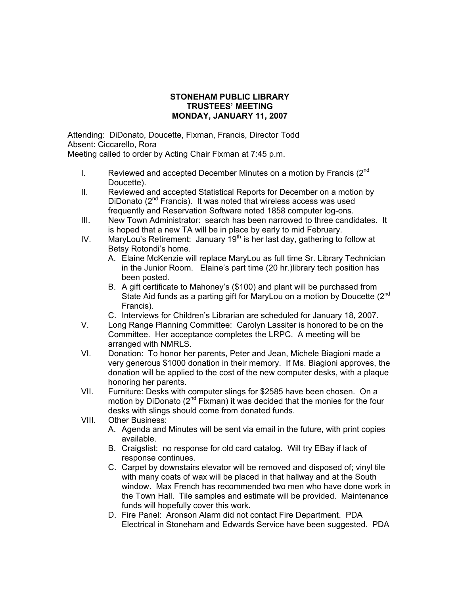## **STONEHAM PUBLIC LIBRARY TRUSTEES' MEETING MONDAY, JANUARY 11, 2007**

Attending: DiDonato, Doucette, Fixman, Francis, Director Todd Absent: Ciccarello, Rora

Meeting called to order by Acting Chair Fixman at 7:45 p.m.

- I. Reviewed and accepted December Minutes on a motion by Francis (2<sup>nd</sup>) Doucette).
- II. Reviewed and accepted Statistical Reports for December on a motion by DiDonato (2<sup>nd</sup> Francis). It was noted that wireless access was used frequently and Reservation Software noted 1858 computer log-ons.
- III. New Town Administrator: search has been narrowed to three candidates. It is hoped that a new TA will be in place by early to mid February.
- IV. MaryLou's Retirement: January  $19<sup>th</sup>$  is her last day, gathering to follow at Betsy Rotondi's home.
	- A. Elaine McKenzie will replace MaryLou as full time Sr. Library Technician in the Junior Room. Elaine's part time (20 hr.)library tech position has been posted.
	- B. A gift certificate to Mahoney's (\$100) and plant will be purchased from State Aid funds as a parting gift for MaryLou on a motion by Doucette (2<sup>nd</sup>) Francis).
	- C. Interviews for Children's Librarian are scheduled for January 18, 2007.
- V. Long Range Planning Committee: Carolyn Lassiter is honored to be on the Committee. Her acceptance completes the LRPC. A meeting will be arranged with NMRLS.
- VI. Donation: To honor her parents, Peter and Jean, Michele Biagioni made a very generous \$1000 donation in their memory. If Ms. Biagioni approves, the donation will be applied to the cost of the new computer desks, with a plaque honoring her parents.
- VII. Furniture: Desks with computer slings for \$2585 have been chosen. On a motion by DiDonato ( $2^{nd}$  Fixman) it was decided that the monies for the four desks with slings should come from donated funds.
- VIII. Other Business:
	- A. Agenda and Minutes will be sent via email in the future, with print copies available.
	- B. Craigslist: no response for old card catalog. Will try EBay if lack of response continues.
	- C. Carpet by downstairs elevator will be removed and disposed of; vinyl tile with many coats of wax will be placed in that hallway and at the South window. Max French has recommended two men who have done work in the Town Hall. Tile samples and estimate will be provided. Maintenance funds will hopefully cover this work.
	- D. Fire Panel: Aronson Alarm did not contact Fire Department. PDA Electrical in Stoneham and Edwards Service have been suggested. PDA